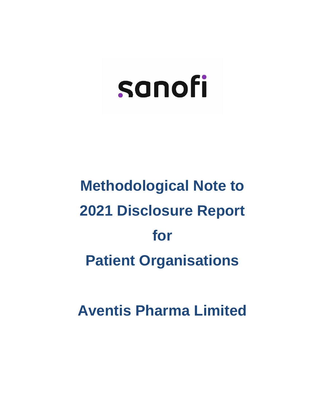## **Methodological Note to 2021 Disclosure Report for Patient Organisations**

**Aventis Pharma Limited**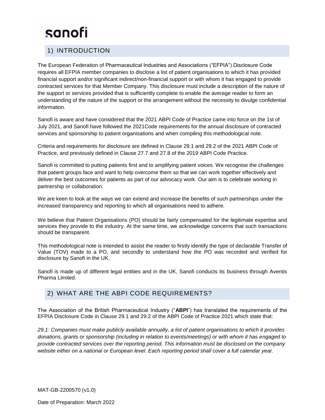#### 1) INTRODUCTION

The European Federation of Pharmaceutical Industries and Associations ("EFPIA") Disclosure Code requires all EFPIA member companies to disclose a list of patient organisations to which it has provided financial support and/or significant indirect/non-financial support or with whom it has engaged to provide contracted services for that Member Company. This disclosure must include a description of the nature of the support or services provided that is sufficiently complete to enable the average reader to form an understanding of the nature of the support or the arrangement without the necessity to divulge confidential information.

Sanofi is aware and have considered that the 2021 ABPI Code of Practice came into force on the 1st of July 2021, and Sanofi have followed the 2021Code requirements for the annual disclosure of contracted services and sponsorship to patient organisations and when compiling this methodological note.

Criteria and requirements for disclosure are defined in Clause 29.1 and 29.2 of the 2021 ABPI Code of Practice, and previously defined in Clause 27.7 and 27.8 of the 2019 ABPI Code Practice.

Sanofi is committed to putting patients first and to amplifying patient voices. We recognise the challenges that patient groups face and want to help overcome them so that we can work together effectively and deliver the best outcomes for patients as part of our advocacy work. Our aim is to celebrate working in partnership or collaboration.

We are keen to look at the ways we can extend and increase the benefits of such partnerships under the increased transparency and reporting to which all organisations need to adhere.

We believe that Patient Organisations (PO) should be fairly compensated for the legitimate expertise and services they provide to the industry. At the same time, we acknowledge concerns that such transactions should be transparent.

This methodological note is intended to assist the reader to firstly identify the type of declarable Transfer of Value (TOV) made to a PO, and secondly to understand how the PO was recorded and verified for disclosure by Sanofi in the UK.

Sanofi is made up of different legal entities and in the UK, Sanofi conducts its business through Aventis Pharma Limited.

#### 2) WHAT ARE THE ABPI CODE REQUIREMENTS?

The Association of the British Pharmaceutical Industry ("**ABPI**") has translated the requirements of the EFPIA Disclosure Code in Clause 29.1 and 29.2 of the ABPI Code of Practice 2021 which state that:

*29.1: Companies must make publicly available annually, a list of patient organisations to which it provides donations, grants or sponsorship (including in relation to events/meetings) or with whom it has engaged to provide contracted services over the reporting period. This information must be disclosed on the company website either on a national or European level. Each reporting period shall cover a full calendar year.*

MAT-GB-2200570 (v1.0)

Date of Preparation: March 2022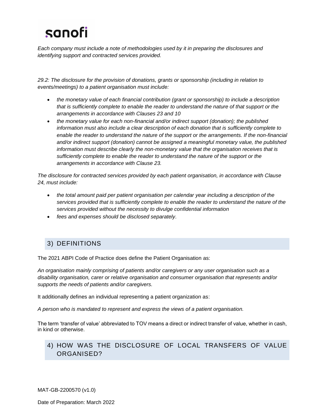*Each company must include a note of methodologies used by it in preparing the disclosures and identifying support and contracted services provided.*

*29.2: The disclosure for the provision of donations, grants or sponsorship (including in relation to events/meetings) to a patient organisation must include:*

- *the monetary value of each financial contribution (grant or sponsorship) to include a description that is sufficiently complete to enable the reader to understand the nature of that support or the arrangements in accordance with Clauses 23 and 10*
- *the monetary value for each non-financial and/or indirect support (donation); the published information must also include a clear description of each donation that is sufficiently complete to enable the reader to understand the nature of the support or the arrangements. If the non-financial and/or indirect support (donation) cannot be assigned a meaningful monetary value, the published information must describe clearly the non-monetary value that the organisation receives that is sufficiently complete to enable the reader to understand the nature of the support or the arrangements in accordance with Clause 23.*

*The disclosure for contracted services provided by each patient organisation, in accordance with Clause 24, must include:* 

- *the total amount paid per patient organisation per calendar year including a description of the services provided that is sufficiently complete to enable the reader to understand the nature of the services provided without the necessity to divulge confidential information*
- *fees and expenses should be disclosed separately.*

#### 3) DEFINITIONS

The 2021 ABPI Code of Practice does define the Patient Organisation as:

*An organisation mainly comprising of patients and/or caregivers or any user organisation such as a disability organisation, carer or relative organisation and consumer organisation that represents and/or supports the needs of patients and/or caregivers.*

It additionally defines an individual representing a patient organization as:

*A person who is mandated to represent and express the views of a patient organisation.*

The term 'transfer of value' abbreviated to TOV means a direct or indirect transfer of value, whether in cash, in kind or otherwise.

#### 4) HOW WAS THE DISCLOSURE OF LOCAL TRANSFERS OF VALUE ORGANISED?

MAT-GB-2200570 (v1.0)